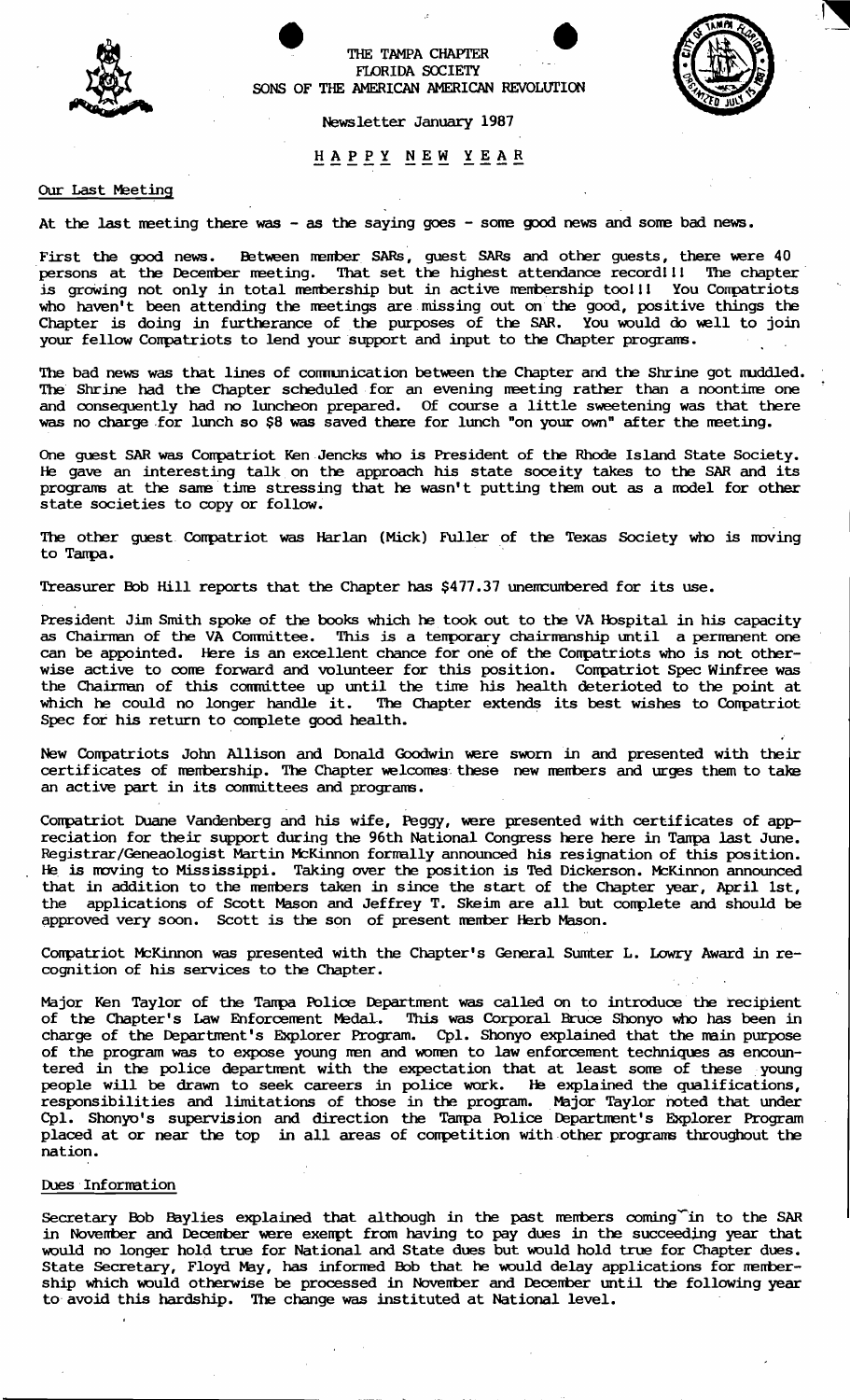

THE TAMPA CHAPTER FLORIDA SOCIETY SONS OF THE AMERICAN AMERICAN REVOLUTION

Newsletter January 1987

**----- --- ----** HAPPY NEW YEAR

## Our Last Meeting

At the last meeting there was - as the saying goes - some good news and some bad news.

First the good news. Between member SARs, guest SARs and other guests, there were 40 persons at the December meeting. That set the highest attendance record!!! The chapter is growing not only in total membership but in active membership too!!! You Compatriots who haven't been attending the meetings are missing out on the good, positive things the Chapter is doing in furtherance of the purposes of the SAR. You would do well to join your fellow Conpatriots to lend your support and input to the Chapter prograns.

The bad news was that lines of communication between the Chapter and the Shrine got muddled. The Shrine had the Chapter scheduled for an evening meeting rather than a noontime one and consequently had no luncheon prepared. Of course a little sweetening was that there was no charge for lunch so \$8 was saved there for lunch "on your own" after the meeting.

One guest SAR was Compatriot Ken Jencks who is President of the Rhode Island State Society. He gave an interesting talk on the approach his state soceity takes to the SAR and its programs at the same time stressing that he wasn't putting them out as a model for other state societies to copy or follow.

The other quest Compatriot was Harlan (Mick) Fuller of the Texas Society who is moving to Tanpa.

Treasurer Bob Hill reports that the Chapter has \$477.37 unemcumbered for its use.

President Jim Smith spoke of the books which he took out to the VA Hospital in his capacity as Chairman of the VA Conmittee. This is a tenporary chairnanship until a perrranent one can be appointed. Here is an excellent chance for one of the Compatriots who is not otherwise active to come forward and volunteer for this position. Compatriot Spec Winfree was the Chairman of this conmittee up until the tine his health deterioted to the point at which he could no longer handle it. The Chapter extends its best wishes to Compatriot Spec for his return to conplete good health.

New Compatriots John Allison and Donald Goodwin were sworn in and presented with their certificates of membership. The Chapter welcomes these new members and urges them to take an active part in its committees and programs.

Conpatriot Duane Vandenberg and his wife, Peggy, were presented with certificates of appreciation for their support during the 96th National Congress here here in Tampa last June. Registrar/Geneaologist Martin McKinnon formally announced his resignation of this position. He is moving to Mississippi. Taking over the position is Ted Dickerson. McKinnon announced that in addition to the members taken in since the start of the Chapter year, April 1st, the applications of Scott Mason and Jeffrey T. Skeim are all but conplete and should be approved very soon. Scott is the son of present member Herb Mason.

Compatriot McKinnon was presented with the Chapter's General Sumter L. Lowry Award in recognition of his services to the Chapter.

Major Ken Taylor of the Tanpa Police Departnent was called on to introduce the recipient of the Chapter's Law Enforcement Medal. This was Corporal Bruce Shonyo who has been in charge of the Department's Explorer Program. Cpl. Shonyo explained that the main purpose of the program was to expose young men and women to law enforcement techniques as encountered in the police department with the expectation that at least some of these young people will be drawn to seek careers in police work. He explained the qualifications, responsibilities and limitations of those in the program. Major Taylor noted that under Cpl. Shonyo's supervision and direction the Tampa Police Department's Explorer Program placed at or near the top in all areas of competition with other programs throughout the nation.

# Dues Information

Secretary Bob Baylies explained that although in the past members coming<sup>r</sup>in to the SAR in November and December were exempt from having to pay dues in the succeeding year that would no longer hold true for National and State dues but would hold true for Chapter dues. State Secretary, Floyd May, has informed Bob that he would delay applications for membership which would otherwise be processed in November and December until the following year to avoid this hardship. The change was instituted at National level.